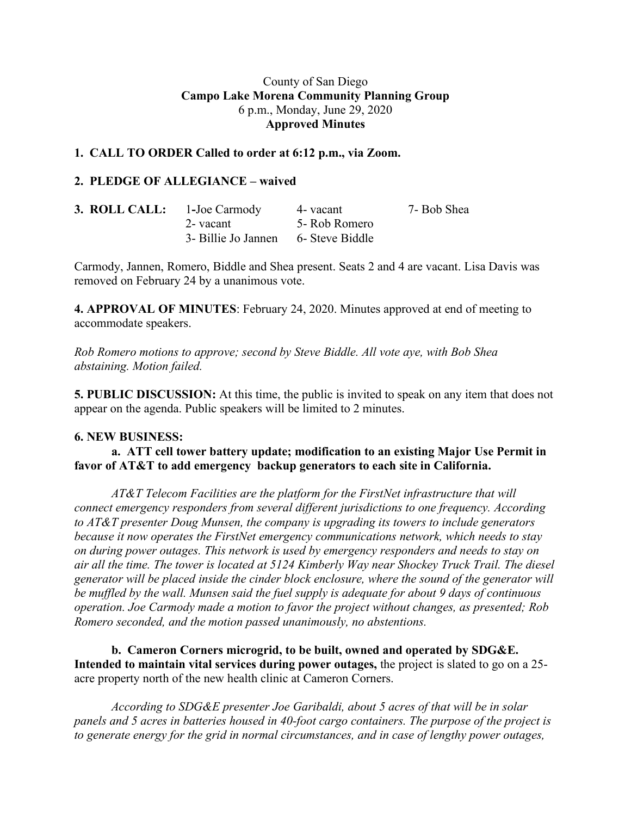## County of San Diego **Campo Lake Morena Community Planning Group** 6 p.m., Monday, June 29, 2020 **Approved Minutes**

## **1. CALL TO ORDER Called to order at 6:12 p.m., via Zoom.**

## **2. PLEDGE OF ALLEGIANCE – waived**

| <b>3. ROLL CALL:</b> 1-Joe Carmody |                                     | 4- vacant     | 7- Bob Shea |
|------------------------------------|-------------------------------------|---------------|-------------|
|                                    | 2- vacant                           | 5- Rob Romero |             |
|                                    | 3- Billie Jo Jannen 6- Steve Biddle |               |             |

Carmody, Jannen, Romero, Biddle and Shea present. Seats 2 and 4 are vacant. Lisa Davis was removed on February 24 by a unanimous vote.

**4. APPROVAL OF MINUTES**: February 24, 2020. Minutes approved at end of meeting to accommodate speakers.

*Rob Romero motions to approve; second by Steve Biddle. All vote aye, with Bob Shea abstaining. Motion failed.*

**5. PUBLIC DISCUSSION:** At this time, the public is invited to speak on any item that does not appear on the agenda. Public speakers will be limited to 2 minutes.

#### **6. NEW BUSINESS:**

**a. ATT cell tower battery update; modification to an existing Major Use Permit in favor of AT&T to add emergency backup generators to each site in California.**

*AT&T Telecom Facilities are the platform for the FirstNet infrastructure that will connect emergency responders from several different jurisdictions to one frequency. According to AT&T presenter Doug Munsen, the company is upgrading its towers to include generators because it now operates the FirstNet emergency communications network, which needs to stay on during power outages. This network is used by emergency responders and needs to stay on air all the time. The tower is located at 5124 Kimberly Way near Shockey Truck Trail. The diesel generator will be placed inside the cinder block enclosure, where the sound of the generator will be muffled by the wall. Munsen said the fuel supply is adequate for about 9 days of continuous operation. Joe Carmody made a motion to favor the project without changes, as presented; Rob Romero seconded, and the motion passed unanimously, no abstentions.*

**b. Cameron Corners microgrid, to be built, owned and operated by SDG&E. Intended to maintain vital services during power outages,** the project is slated to go on a 25 acre property north of the new health clinic at Cameron Corners.

*According to SDG&E presenter Joe Garibaldi, about 5 acres of that will be in solar panels and 5 acres in batteries housed in 40-foot cargo containers. The purpose of the project is to generate energy for the grid in normal circumstances, and in case of lengthy power outages,*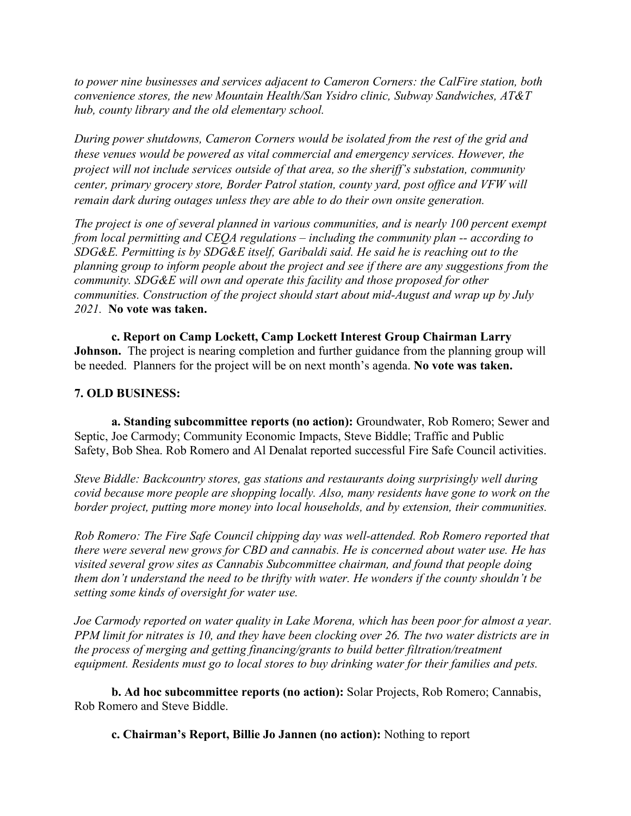*to power nine businesses and services adjacent to Cameron Corners: the CalFire station, both convenience stores, the new Mountain Health/San Ysidro clinic, Subway Sandwiches, AT&T hub, county library and the old elementary school.*

*During power shutdowns, Cameron Corners would be isolated from the rest of the grid and these venues would be powered as vital commercial and emergency services. However, the project will not include services outside of that area, so the sheriff's substation, community center, primary grocery store, Border Patrol station, county yard, post office and VFW will remain dark during outages unless they are able to do their own onsite generation.*

*The project is one of several planned in various communities, and is nearly 100 percent exempt from local permitting and CEQA regulations – including the community plan -- according to SDG&E. Permitting is by SDG&E itself, Garibaldi said. He said he is reaching out to the planning group to inform people about the project and see if there are any suggestions from the community. SDG&E will own and operate this facility and those proposed for other communities. Construction of the project should start about mid-August and wrap up by July 2021.* **No vote was taken.**

**c. Report on Camp Lockett, Camp Lockett Interest Group Chairman Larry Johnson.** The project is nearing completion and further guidance from the planning group will be needed. Planners for the project will be on next month's agenda. **No vote was taken.**

# **7. OLD BUSINESS:**

**a. Standing subcommittee reports (no action):** Groundwater, Rob Romero; Sewer and Septic, Joe Carmody; Community Economic Impacts, Steve Biddle; Traffic and Public Safety, Bob Shea. Rob Romero and Al Denalat reported successful Fire Safe Council activities.

*Steve Biddle: Backcountry stores, gas stations and restaurants doing surprisingly well during covid because more people are shopping locally. Also, many residents have gone to work on the border project, putting more money into local households, and by extension, their communities.*

*Rob Romero: The Fire Safe Council chipping day was well-attended. Rob Romero reported that there were several new grows for CBD and cannabis. He is concerned about water use. He has visited several grow sites as Cannabis Subcommittee chairman, and found that people doing them don't understand the need to be thrifty with water. He wonders if the county shouldn't be setting some kinds of oversight for water use.*

*Joe Carmody reported on water quality in Lake Morena, which has been poor for almost a year.* PPM limit for nitrates is 10, and they have been clocking over 26. The two water districts are in *the process of merging and getting financing/grants to build better filtration/treatment equipment. Residents must go to local stores to buy drinking water for their families and pets.*

**b. Ad hoc subcommittee reports (no action):** Solar Projects, Rob Romero; Cannabis, Rob Romero and Steve Biddle.

**c. Chairman's Report, Billie Jo Jannen (no action):** Nothing to report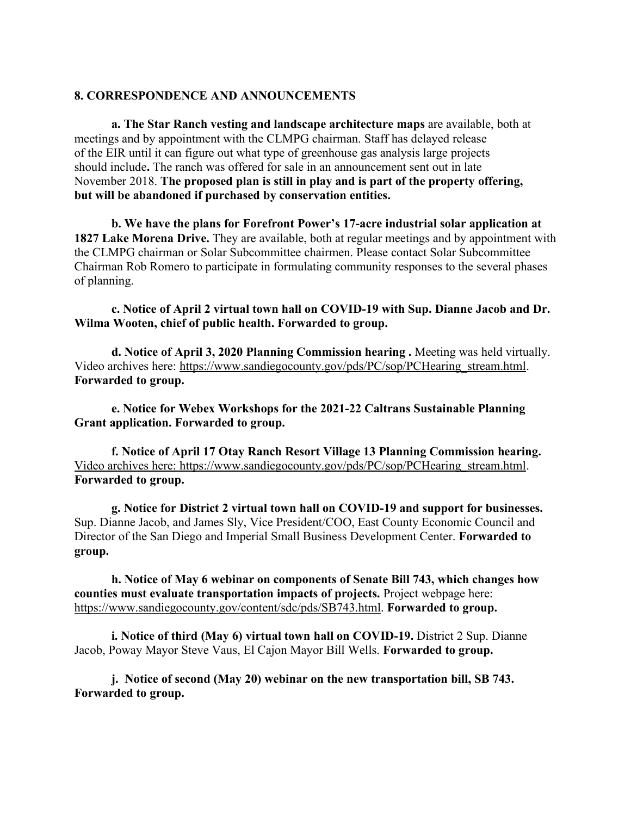#### **8. CORRESPONDENCE AND ANNOUNCEMENTS**

**a. The Star Ranch vesting and landscape architecture maps** are available, both at meetings and by appointment with the CLMPG chairman. Staff has delayed release of the EIR until it can figure out what type of greenhouse gas analysis large projects should include**.** The ranch was offered for sale in an announcement sent out in late November 2018. **The proposed plan is still in play and is part of the property offering, but will be abandoned if purchased by conservation entities.**

**b. We have the plans for Forefront Power's 17-acre industrial solar application at 1827 Lake Morena Drive.** They are available, both at regular meetings and by appointment with the CLMPG chairman or Solar Subcommittee chairmen. Please contact Solar Subcommittee Chairman Rob Romero to participate in formulating community responses to the several phases of planning.

**c. Notice of April 2 virtual town hall on COVID-19 with Sup. Dianne Jacob and Dr. Wilma Wooten, chief of public health. Forwarded to group.**

**d. Notice of April 3, 2020 Planning Commission hearing .** Meeting was held virtually. Video archives here: https://www.sandiegocounty.gov/pds/PC/sop/PCHearing\_stream.html. **Forwarded to group.**

**e. Notice for Webex Workshops for the 2021-22 Caltrans Sustainable Planning Grant application. Forwarded to group.**

**f. Notice of April 17 Otay Ranch Resort Village 13 Planning Commission hearing.** Video archives here: https://www.sandiegocounty.gov/pds/PC/sop/PCHearing\_stream.html. **Forwarded to group.**

**g. Notice for District 2 virtual town hall on COVID-19 and support for businesses.** Sup. Dianne Jacob, and James Sly, Vice President/COO, East County Economic Council and Director of the San Diego and Imperial Small Business Development Center. **Forwarded to group.**

**h. Notice of May 6 webinar on components of Senate Bill 743, which changes how counties must evaluate transportation impacts of projects.** Project webpage here: https://www.sandiegocounty.gov/content/sdc/pds/SB743.html. **Forwarded to group.**

**i. Notice of third (May 6) virtual town hall on COVID-19.** District 2 Sup. Dianne Jacob, Poway Mayor Steve Vaus, El Cajon Mayor Bill Wells. **Forwarded to group.**

**j. Notice of second (May 20) webinar on the new transportation bill, SB 743. Forwarded to group.**